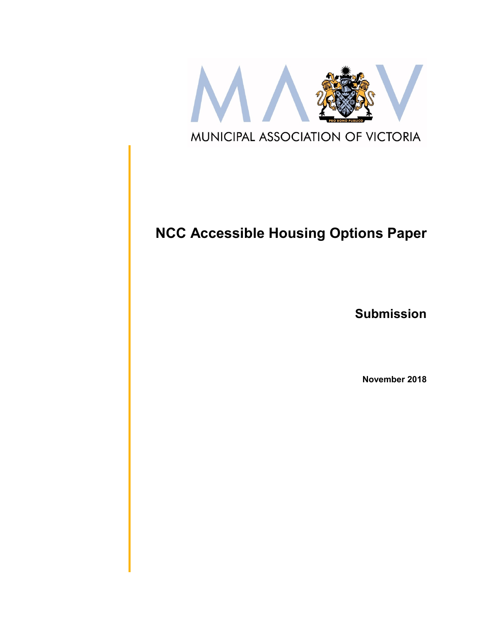

# **NCC Accessible Housing Options Paper**

**Submission**

**November 2018**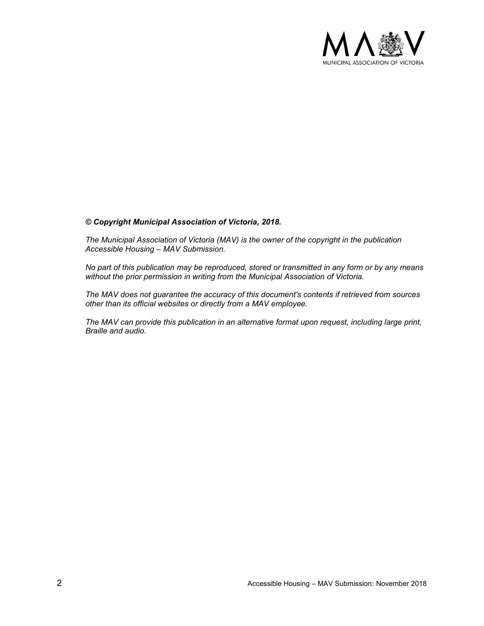

#### *© Copyright Municipal Association of Victoria, 2018.*

*The Municipal Association of Victoria (MAV) is the owner of the copyright in the publication Accessible Housing – MAV Submission.* 

*No part of this publication may be reproduced, stored or transmitted in any form or by any means without the prior permission in writing from the Municipal Association of Victoria.* 

*The MAV does not guarantee the accuracy of this document's contents if retrieved from sources other than its official websites or directly from a MAV employee.*

*The MAV can provide this publication in an alternative format upon request, including large print, Braille and audio.*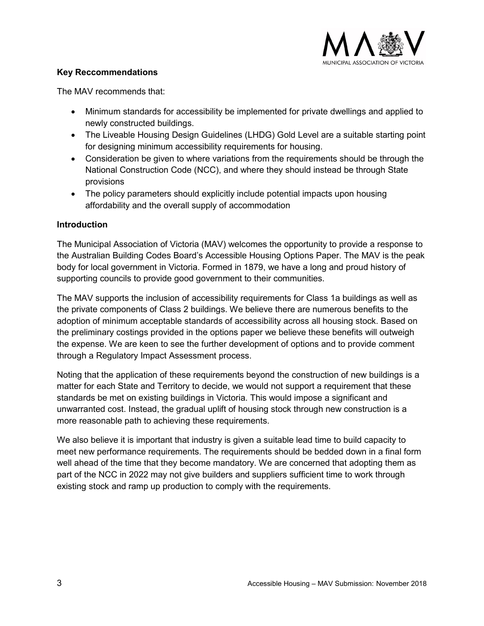

## **Key Reccommendations**

The MAV recommends that:

- Minimum standards for accessibility be implemented for private dwellings and applied to newly constructed buildings.
- The Liveable Housing Design Guidelines (LHDG) Gold Level are a suitable starting point for designing minimum accessibility requirements for housing.
- Consideration be given to where variations from the requirements should be through the National Construction Code (NCC), and where they should instead be through State provisions
- The policy parameters should explicitly include potential impacts upon housing affordability and the overall supply of accommodation

# **Introduction**

The Municipal Association of Victoria (MAV) welcomes the opportunity to provide a response to the Australian Building Codes Board's Accessible Housing Options Paper. The MAV is the peak body for local government in Victoria. Formed in 1879, we have a long and proud history of supporting councils to provide good government to their communities.

The MAV supports the inclusion of accessibility requirements for Class 1a buildings as well as the private components of Class 2 buildings. We believe there are numerous benefits to the adoption of minimum acceptable standards of accessibility across all housing stock. Based on the preliminary costings provided in the options paper we believe these benefits will outweigh the expense. We are keen to see the further development of options and to provide comment through a Regulatory Impact Assessment process.

Noting that the application of these requirements beyond the construction of new buildings is a matter for each State and Territory to decide, we would not support a requirement that these standards be met on existing buildings in Victoria. This would impose a significant and unwarranted cost. Instead, the gradual uplift of housing stock through new construction is a more reasonable path to achieving these requirements.

We also believe it is important that industry is given a suitable lead time to build capacity to meet new performance requirements. The requirements should be bedded down in a final form well ahead of the time that they become mandatory. We are concerned that adopting them as part of the NCC in 2022 may not give builders and suppliers sufficient time to work through existing stock and ramp up production to comply with the requirements.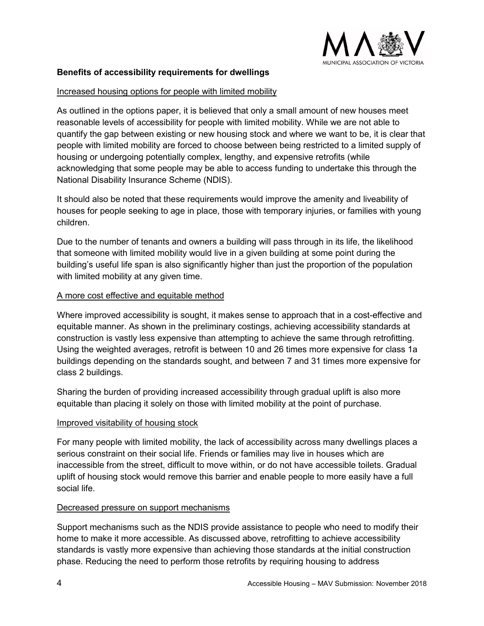

# **Benefits of accessibility requirements for dwellings**

#### Increased housing options for people with limited mobility

As outlined in the options paper, it is believed that only a small amount of new houses meet reasonable levels of accessibility for people with limited mobility. While we are not able to quantify the gap between existing or new housing stock and where we want to be, it is clear that people with limited mobility are forced to choose between being restricted to a limited supply of housing or undergoing potentially complex, lengthy, and expensive retrofits (while acknowledging that some people may be able to access funding to undertake this through the National Disability Insurance Scheme (NDIS).

It should also be noted that these requirements would improve the amenity and liveability of houses for people seeking to age in place, those with temporary injuries, or families with young children.

Due to the number of tenants and owners a building will pass through in its life, the likelihood that someone with limited mobility would live in a given building at some point during the building's useful life span is also significantly higher than just the proportion of the population with limited mobility at any given time.

#### A more cost effective and equitable method

Where improved accessibility is sought, it makes sense to approach that in a cost-effective and equitable manner. As shown in the preliminary costings, achieving accessibility standards at construction is vastly less expensive than attempting to achieve the same through retrofitting. Using the weighted averages, retrofit is between 10 and 26 times more expensive for class 1a buildings depending on the standards sought, and between 7 and 31 times more expensive for class 2 buildings.

Sharing the burden of providing increased accessibility through gradual uplift is also more equitable than placing it solely on those with limited mobility at the point of purchase.

#### Improved visitability of housing stock

For many people with limited mobility, the lack of accessibility across many dwellings places a serious constraint on their social life. Friends or families may live in houses which are inaccessible from the street, difficult to move within, or do not have accessible toilets. Gradual uplift of housing stock would remove this barrier and enable people to more easily have a full social life.

#### Decreased pressure on support mechanisms

Support mechanisms such as the NDIS provide assistance to people who need to modify their home to make it more accessible. As discussed above, retrofitting to achieve accessibility standards is vastly more expensive than achieving those standards at the initial construction phase. Reducing the need to perform those retrofits by requiring housing to address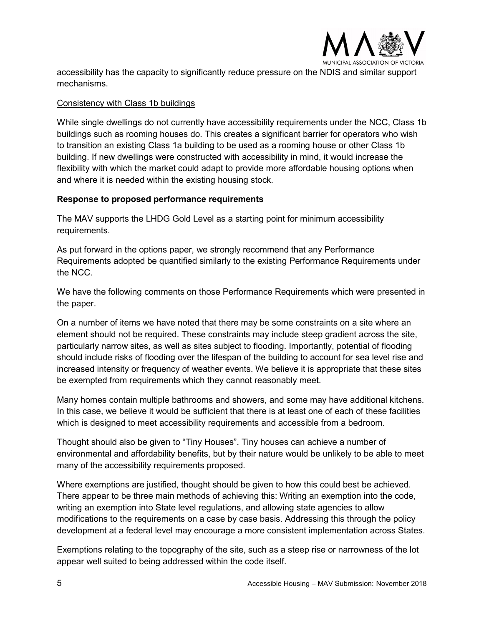

accessibility has the capacity to significantly reduce pressure on the NDIS and similar support mechanisms.

#### Consistency with Class 1b buildings

While single dwellings do not currently have accessibility requirements under the NCC, Class 1b buildings such as rooming houses do. This creates a significant barrier for operators who wish to transition an existing Class 1a building to be used as a rooming house or other Class 1b building. If new dwellings were constructed with accessibility in mind, it would increase the flexibility with which the market could adapt to provide more affordable housing options when and where it is needed within the existing housing stock.

#### **Response to proposed performance requirements**

The MAV supports the LHDG Gold Level as a starting point for minimum accessibility requirements.

As put forward in the options paper, we strongly recommend that any Performance Requirements adopted be quantified similarly to the existing Performance Requirements under the NCC.

We have the following comments on those Performance Requirements which were presented in the paper.

On a number of items we have noted that there may be some constraints on a site where an element should not be required. These constraints may include steep gradient across the site, particularly narrow sites, as well as sites subject to flooding. Importantly, potential of flooding should include risks of flooding over the lifespan of the building to account for sea level rise and increased intensity or frequency of weather events. We believe it is appropriate that these sites be exempted from requirements which they cannot reasonably meet.

Many homes contain multiple bathrooms and showers, and some may have additional kitchens. In this case, we believe it would be sufficient that there is at least one of each of these facilities which is designed to meet accessibility requirements and accessible from a bedroom.

Thought should also be given to "Tiny Houses". Tiny houses can achieve a number of environmental and affordability benefits, but by their nature would be unlikely to be able to meet many of the accessibility requirements proposed.

Where exemptions are justified, thought should be given to how this could best be achieved. There appear to be three main methods of achieving this: Writing an exemption into the code, writing an exemption into State level regulations, and allowing state agencies to allow modifications to the requirements on a case by case basis. Addressing this through the policy development at a federal level may encourage a more consistent implementation across States.

Exemptions relating to the topography of the site, such as a steep rise or narrowness of the lot appear well suited to being addressed within the code itself.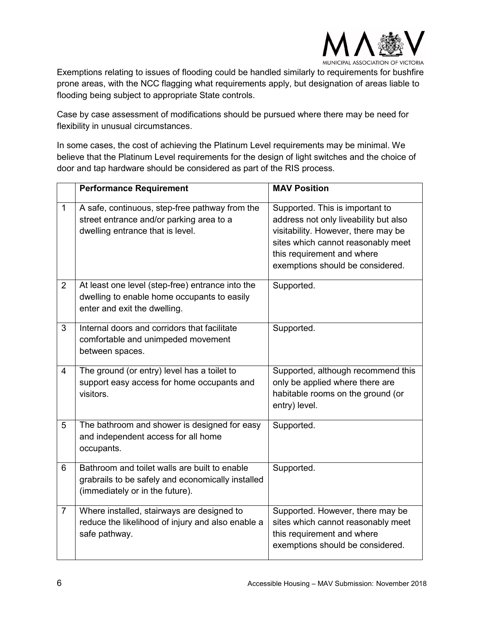

Exemptions relating to issues of flooding could be handled similarly to requirements for bushfire prone areas, with the NCC flagging what requirements apply, but designation of areas liable to flooding being subject to appropriate State controls.

Case by case assessment of modifications should be pursued where there may be need for flexibility in unusual circumstances.

In some cases, the cost of achieving the Platinum Level requirements may be minimal. We believe that the Platinum Level requirements for the design of light switches and the choice of door and tap hardware should be considered as part of the RIS process.

|                | <b>Performance Requirement</b>                                                                                                        | <b>MAV Position</b>                                                                                                                                                                                                     |
|----------------|---------------------------------------------------------------------------------------------------------------------------------------|-------------------------------------------------------------------------------------------------------------------------------------------------------------------------------------------------------------------------|
| $\mathbf{1}$   | A safe, continuous, step-free pathway from the<br>street entrance and/or parking area to a<br>dwelling entrance that is level.        | Supported. This is important to<br>address not only liveability but also<br>visitability. However, there may be<br>sites which cannot reasonably meet<br>this requirement and where<br>exemptions should be considered. |
| $\overline{2}$ | At least one level (step-free) entrance into the<br>dwelling to enable home occupants to easily<br>enter and exit the dwelling.       | Supported.                                                                                                                                                                                                              |
| 3              | Internal doors and corridors that facilitate<br>comfortable and unimpeded movement<br>between spaces.                                 | Supported.                                                                                                                                                                                                              |
| $\overline{4}$ | The ground (or entry) level has a toilet to<br>support easy access for home occupants and<br>visitors.                                | Supported, although recommend this<br>only be applied where there are<br>habitable rooms on the ground (or<br>entry) level.                                                                                             |
| 5              | The bathroom and shower is designed for easy<br>and independent access for all home<br>occupants.                                     | Supported.                                                                                                                                                                                                              |
| 6              | Bathroom and toilet walls are built to enable<br>grabrails to be safely and economically installed<br>(immediately or in the future). | Supported.                                                                                                                                                                                                              |
| $\overline{7}$ | Where installed, stairways are designed to<br>reduce the likelihood of injury and also enable a<br>safe pathway.                      | Supported. However, there may be<br>sites which cannot reasonably meet<br>this requirement and where<br>exemptions should be considered.                                                                                |